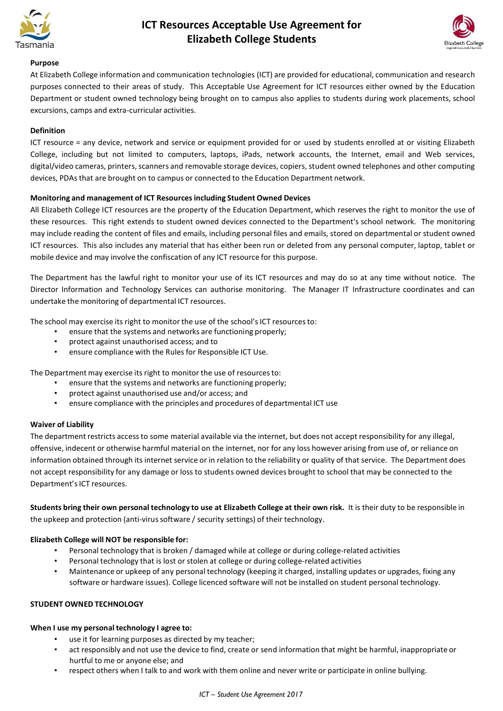

# **ICT Resources Acceptable Use Agreement for Elizabeth College Students**



### **Purpose**

At Elizabeth College information and communication technologies (ICT) are provided for educational, communication and research purposes connected to their areas of study. This Acceptable Use Agreement for ICT resources either owned by the Education Department or student owned technology being brought on to campus also applies to students during work placements, school excursions, camps and extra-curricular activities.

# **Definition**

ICT resource = any device, network and service or equipment provided for or used by students enrolled at or visiting Elizabeth College, including but not limited to computers, laptops, iPads, network accounts, the Internet, email and Web services, digital/video cameras, printers, scanners and removable storage devices, copiers, student owned telephones and other computing devices, PDAs that are brought on to campus or connected to the Education Department network.

# **Monitoring and management of ICT Resourcesincluding Student Owned Devices**

All Elizabeth College ICT resources are the property of the Education Department, which reserves the right to monitor the use of these resources. This right extends to student owned devices connected to the Department's school network. The monitoring may include reading the content of files and emails, including personal files and emails, stored on departmental or student owned ICT resources. This also includes any material that has either been run or deleted from any personal computer, laptop, tablet or mobile device and may involve the confiscation of any ICT resource for this purpose.

The Department has the lawful right to monitor your use of its ICT resources and may do so at any time without notice. The Director Information and Technology Services can authorise monitoring. The Manager IT Infrastructure coordinates and can undertake the monitoring of departmental ICT resources.

The school may exercise its right to monitor the use of the school's ICT resources to:

- ensure that the systems and networks are functioning properly;
- protect against unauthorised access; and to
- ensure compliance with the Rules for Responsible ICT Use.

The Department may exercise its right to monitor the use of resourcesto:

- ensure that the systems and networks are functioning properly;
- protect against unauthorised use and/or access; and
- ensure compliance with the principles and procedures of departmental ICT use

### **Waiver of Liability**

The department restricts accessto some material available via the internet, but does not accept responsibility for any illegal, offensive, indecent or otherwise harmful material on the internet, nor for any loss however arising from use of, or reliance on information obtained through its internet service or in relation to the reliability or quality of that service. The Department does not accept responsibility for any damage or loss to students owned devices brought to school that may be connected to the Department's ICT resources.

Students bring their own personal technology to use at Elizabeth College at their own risk. It is their duty to be responsible in the upkeep and protection (anti-virus software / security settings) of their technology.

### **Elizabeth College will NOT be responsible for:**

- Personal technology that is broken / damaged while at college or during college-related activities
- Personal technology that is lost or stolen at college or during college-related activities
- Maintenance or upkeep of any personal technology (keeping it charged, installing updates or upgrades, fixing any software or hardware issues). College licenced software will not be installed on student personal technology.

# **STUDENT OWNED TECHNOLOGY**

### **When I use my personal technology I agree to:**

- use it for learning purposes as directed by my teacher;
- act responsibly and not use the device to find, create or send information that might be harmful, inappropriate or hurtful to me or anyone else; and
- respect others when I talk to and work with them online and never write or participate in online bullying.